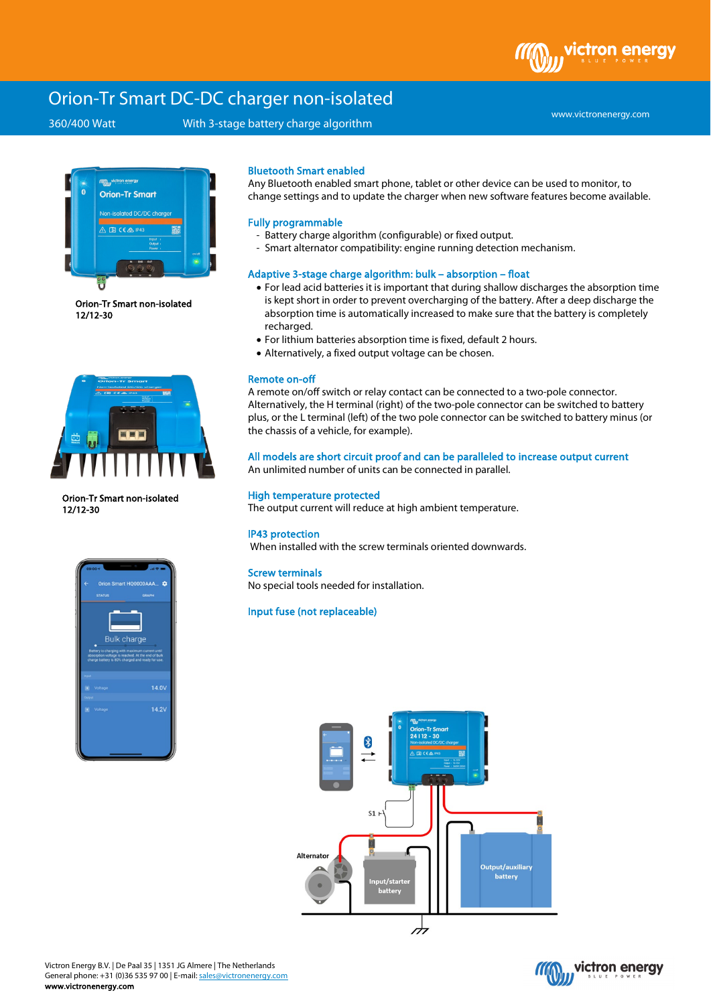ictron enerav

# Orion-Tr Smart DC-DC charger non-isolated

# 360/400 Watt With 3-stage battery charge algorithm

www.victronenergy.com



Orion-Tr Smart non-isolated 12/12-30



Orion-Tr Smart non-isolated 12/12-30



### Bluetooth Smart enabled

Any Bluetooth enabled smart phone, tablet or other device can be used to monitor, to change settings and to update the charger when new software features become available.

#### Fully programmable

- Battery charge algorithm (configurable) or fixed output.
- Smart alternator compatibility: engine running detection mechanism.

#### Adaptive 3-stage charge algorithm: bulk – absorption – float

- For lead acid batteries it is important that during shallow discharges the absorption time is kept short in order to prevent overcharging of the battery. After a deep discharge the absorption time is automatically increased to make sure that the battery is completely recharged.
- For lithium batteries absorption time is fixed, default 2 hours.
- Alternatively, a fixed output voltage can be chosen.

#### Remote on-off

A remote on/off switch or relay contact can be connected to a two-pole connector. Alternatively, the H terminal (right) of the two-pole connector can be switched to battery plus, or the L terminal (left) of the two pole connector can be switched to battery minus (or the chassis of a vehicle, for example).

# All models are short circuit proof and can be paralleled to increase output current

An unlimited number of units can be connected in parallel.

### High temperature protected

The output current will reduce at high ambient temperature.

### IP43 protection

When installed with the screw terminals oriented downwards.

#### Screw terminals

No special tools needed for installation.

# Input fuse (not replaceable)